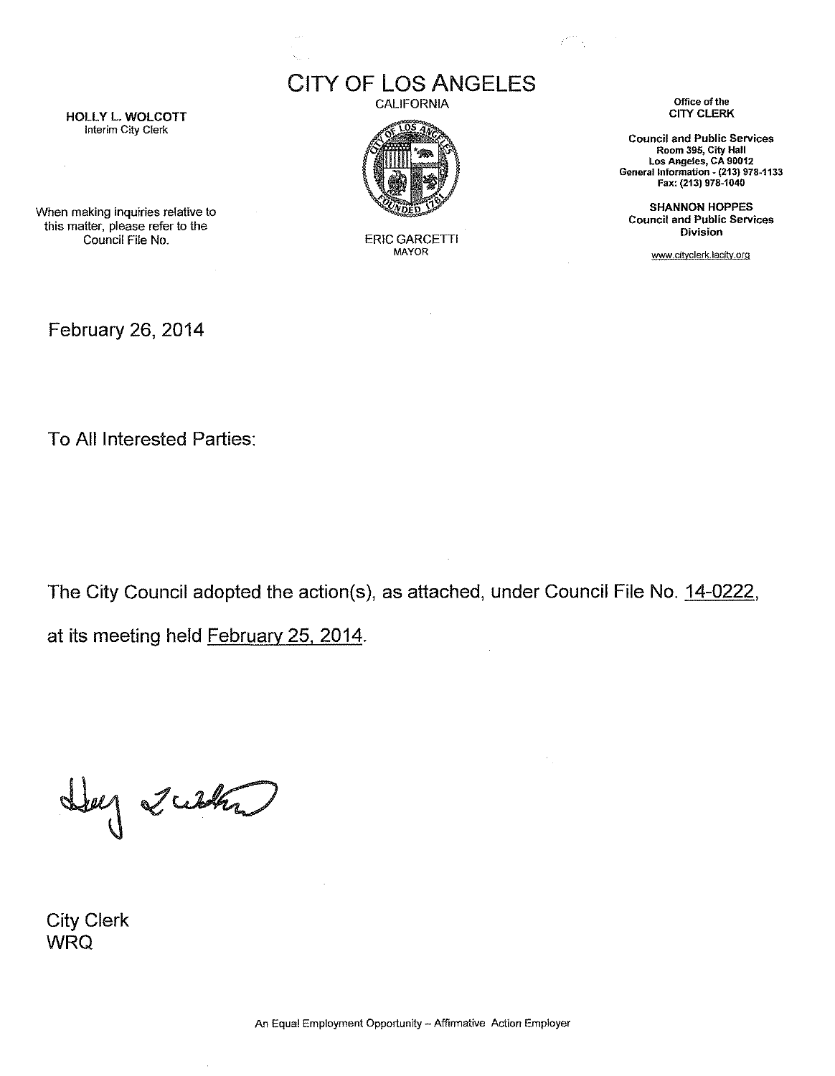**Interim City Clerk**



CITY OF LOS ANGELES

**MAYOR**

CALIFORNIA **Office** of the

an<br>T

**Council and Public Services Room 395, City Hall Los Angeles, CA 90012 General Information - (213) 978-1133 Fax: (213) 978-1040**

SHANNON HOPPES **Council and Public Services Division**

www.dtvclerk.lacitv.org

**When making inquiries relative to** this matter, please refer to the Council File No. **ERIC GARCETTI** 

February 26, 2014

To All Interested Parties:

The City Council adopted the action(s), as attached, under Council File No. 14-0222,

at its meeting held February 25, 2014.

 $\bar{z}$ 

Lug 2 with

City Clerk WRQ